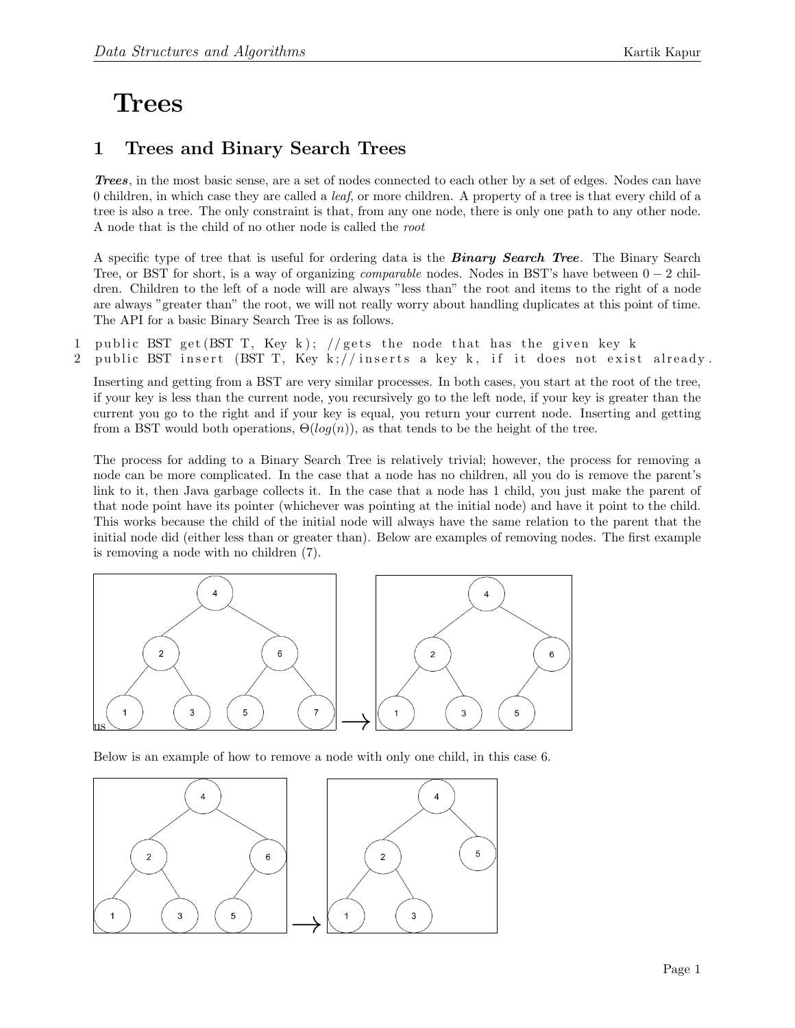## Trees

## 1 Trees and Binary Search Trees

Trees, in the most basic sense, are a set of nodes connected to each other by a set of edges. Nodes can have 0 children, in which case they are called a leaf, or more children. A property of a tree is that every child of a tree is also a tree. The only constraint is that, from any one node, there is only one path to any other node. A node that is the child of no other node is called the root

A specific type of tree that is useful for ordering data is the **Binary Search Tree**. The Binary Search Tree, or BST for short, is a way of organizing *comparable* nodes. Nodes in BST's have between  $0 - 2$  children. Children to the left of a node will are always "less than" the root and items to the right of a node are always "greater than" the root, we will not really worry about handling duplicates at this point of time. The API for a basic Binary Search Tree is as follows.

1 public BST get  $(BST T, Key k)$ ; //gets the node that has the given key k 2 public BST insert (BST T, Key k;//inserts a key k, if it does not exist already.

Inserting and getting from a BST are very similar processes. In both cases, you start at the root of the tree, if your key is less than the current node, you recursively go to the left node, if your key is greater than the current you go to the right and if your key is equal, you return your current node. Inserting and getting from a BST would both operations,  $\Theta(log(n))$ , as that tends to be the height of the tree.

The process for adding to a Binary Search Tree is relatively trivial; however, the process for removing a node can be more complicated. In the case that a node has no children, all you do is remove the parent's link to it, then Java garbage collects it. In the case that a node has 1 child, you just make the parent of that node point have its pointer (whichever was pointing at the initial node) and have it point to the child. This works because the child of the initial node will always have the same relation to the parent that the initial node did (either less than or greater than). Below are examples of removing nodes. The first example is removing a node with no children (7).



Below is an example of how to remove a node with only one child, in this case 6.